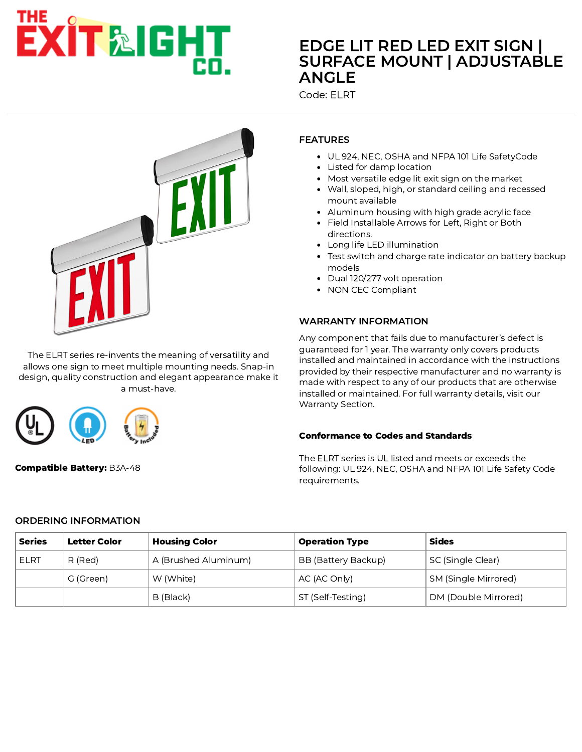# EXIT&IGHT

# EDGE LIT RED LED EXIT SIGN | SURFACE MOUNT | ADJUSTABLE ANGLE

Code: ELRT



The ELRT series re-invents the meaning of versatility and allows one sign to meet multiple mounting needs. Snap-in design, quality construction and elegant appearance make it a must-have.



Compatible Battery: B3A-48

## FEATURES

- UL 924, NEC, OSHA and NFPA 101 Life SafetyCode
- Listed for damp location
- Most versatile edge lit exit sign on the market
- Wall, sloped, high, or standard ceiling and recessed mount available
- Aluminum housing with high grade acrylic face
- Field Installable Arrows for Left, Right or Both directions.
- Long life LED illumination
- Test switch and charge rate indicator on battery backup models
- Dual 120/277 volt operation
- NON CEC Compliant

### WARRANTY INFORMATION

Any component that fails due to manufacturer's defect is guaranteed for 1 year. The warranty only covers products installed and maintained in accordance with the instructions provided by their respective manufacturer and no warranty is made with respect to any of our products that are otherwise installed or maintained. For full warranty details, visit our Warranty Section.

### Conformance to Codes and Standards

The ELRT series is UL listed and meets or exceeds the following: UL 924, NEC, OSHA and NFPA 101 Life Safety Code requirements.

### ORDERING INFORMATION

| <b>Series</b> | Letter Color | <b>Housing Color</b> | <b>Operation Type</b> | Sides                |
|---------------|--------------|----------------------|-----------------------|----------------------|
| ELRT          | R (Red)      | A (Brushed Aluminum) | BB (Battery Backup)   | SC (Single Clear)    |
|               | G (Green)    | W (White)            | AC (AC Only)          | SM (Single Mirrored) |
|               |              | B (Black)            | ST (Self-Testing)     | DM (Double Mirrored) |